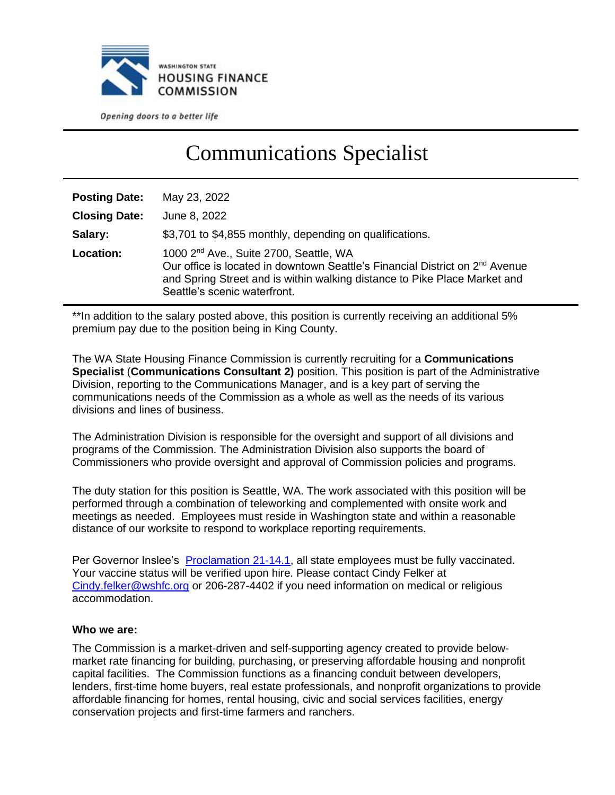

Opening doors to a better life

# Communications Specialist

| <b>Posting Date:</b> | May 23, 2022                                                                                                                                                                                                                                                |
|----------------------|-------------------------------------------------------------------------------------------------------------------------------------------------------------------------------------------------------------------------------------------------------------|
| <b>Closing Date:</b> | June 8, 2022                                                                                                                                                                                                                                                |
| Salary:              | \$3,701 to \$4,855 monthly, depending on qualifications.                                                                                                                                                                                                    |
| Location:            | 1000 2 <sup>nd</sup> Ave., Suite 2700, Seattle, WA<br>Our office is located in downtown Seattle's Financial District on 2 <sup>nd</sup> Avenue<br>and Spring Street and is within walking distance to Pike Place Market and<br>Seattle's scenic waterfront. |

\*\*In addition to the salary posted above, this position is currently receiving an additional 5% premium pay due to the position being in King County.

The WA State Housing Finance Commission is currently recruiting for a **Communications Specialist** (**Communications Consultant 2)** position. This position is part of the Administrative Division, reporting to the Communications Manager, and is a key part of serving the communications needs of the Commission as a whole as well as the needs of its various divisions and lines of business.

The Administration Division is responsible for the oversight and support of all divisions and programs of the Commission. The Administration Division also supports the board of Commissioners who provide oversight and approval of Commission policies and programs.

The duty station for this position is Seattle, WA. The work associated with this position will be performed through a combination of teleworking and complemented with onsite work and meetings as needed. Employees must reside in Washington state and within a reasonable distance of our worksite to respond to workplace reporting requirements.

Per Governor Inslee's [Proclamation 21-14.1,](https://www.governor.wa.gov/sites/default/files/proclamations/21-14.1%20-%20COVID-19%20Vax%20Washington%20Amendment.pdf?utm_medium=email&utm_source=govdelivery) all state employees must be fully vaccinated. Your vaccine status will be verified upon hire. Please contact Cindy Felker at [Cindy.felker@wshfc.org](mailto:Cindy.felker@wshfc.org) or 206-287-4402 if you need information on medical or religious accommodation.

#### **Who we are:**

The Commission is a market-driven and self-supporting agency created to provide belowmarket rate financing for building, purchasing, or preserving affordable housing and nonprofit capital facilities. The Commission functions as a financing conduit between developers, lenders, first-time home buyers, real estate professionals, and nonprofit organizations to provide affordable financing for homes, rental housing, civic and social services facilities, energy conservation projects and first-time farmers and ranchers.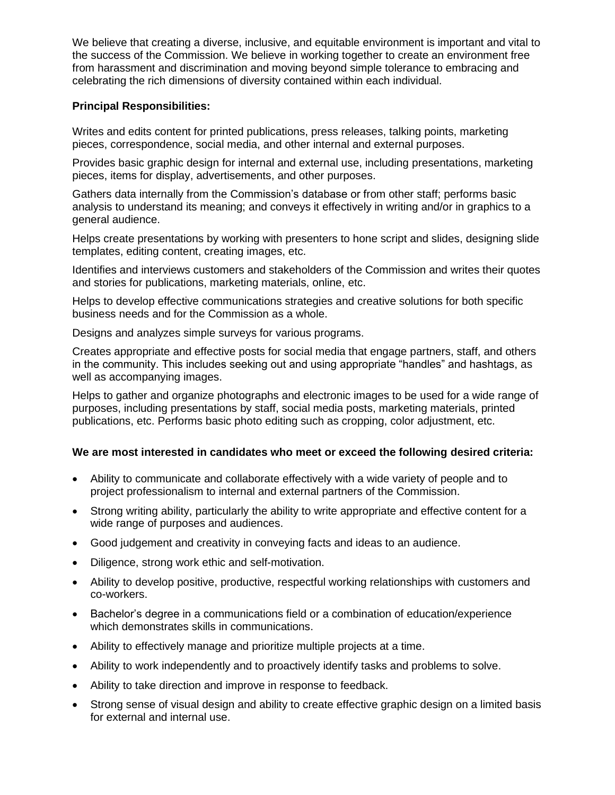We believe that creating a diverse, inclusive, and equitable environment is important and vital to the success of the Commission. We believe in working together to create an environment free from harassment and discrimination and moving beyond simple tolerance to embracing and celebrating the rich dimensions of diversity contained within each individual.

### **Principal Responsibilities:**

Writes and edits content for printed publications, press releases, talking points, marketing pieces, correspondence, social media, and other internal and external purposes.

Provides basic graphic design for internal and external use, including presentations, marketing pieces, items for display, advertisements, and other purposes.

Gathers data internally from the Commission's database or from other staff; performs basic analysis to understand its meaning; and conveys it effectively in writing and/or in graphics to a general audience.

Helps create presentations by working with presenters to hone script and slides, designing slide templates, editing content, creating images, etc.

Identifies and interviews customers and stakeholders of the Commission and writes their quotes and stories for publications, marketing materials, online, etc.

Helps to develop effective communications strategies and creative solutions for both specific business needs and for the Commission as a whole.

Designs and analyzes simple surveys for various programs.

Creates appropriate and effective posts for social media that engage partners, staff, and others in the community. This includes seeking out and using appropriate "handles" and hashtags, as well as accompanying images.

Helps to gather and organize photographs and electronic images to be used for a wide range of purposes, including presentations by staff, social media posts, marketing materials, printed publications, etc. Performs basic photo editing such as cropping, color adjustment, etc.

#### **We are most interested in candidates who meet or exceed the following desired criteria:**

- Ability to communicate and collaborate effectively with a wide variety of people and to project professionalism to internal and external partners of the Commission.
- Strong writing ability, particularly the ability to write appropriate and effective content for a wide range of purposes and audiences.
- Good judgement and creativity in conveying facts and ideas to an audience.
- Diligence, strong work ethic and self-motivation.
- Ability to develop positive, productive, respectful working relationships with customers and co-workers.
- Bachelor's degree in a communications field or a combination of education/experience which demonstrates skills in communications.
- Ability to effectively manage and prioritize multiple projects at a time.
- Ability to work independently and to proactively identify tasks and problems to solve.
- Ability to take direction and improve in response to feedback.
- Strong sense of visual design and ability to create effective graphic design on a limited basis for external and internal use.